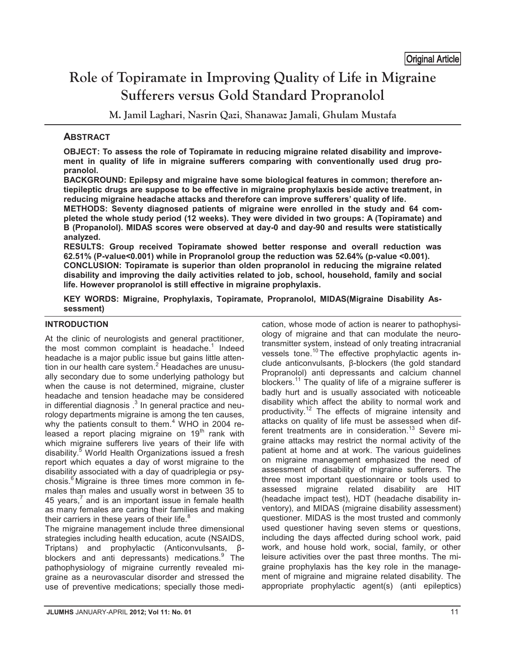# **Role of Topiramate in Improving Quality of Life in Migraine Sufferers versus Gold Standard Propranolol**  Original Article

**M. Jamil Laghari**, **Nasrin Qazi**, **Shanawaz Jamali**, **Ghulam Mustafa** 

# **ABSTRACT**

**OBJECT: To assess the role of Topiramate in reducing migraine related disability and improvement in quality of life in migraine sufferers comparing with conventionally used drug propranolol.** 

**BACKGROUND: Epilepsy and migraine have some biological features in common; therefore antiepileptic drugs are suppose to be effective in migraine prophylaxis beside active treatment, in reducing migraine headache attacks and therefore can improve sufferers' quality of life.** 

**METHODS: Seventy diagnosed patients of migraine were enrolled in the study and 64 completed the whole study period (12 weeks). They were divided in two groups: A (Topiramate) and B (Propanolol). MIDAS scores were observed at day-0 and day-90 and results were statistically analyzed.** 

**RESULTS: Group received Topiramate showed better response and overall reduction was 62.51% (P-value<0.001) while in Propranolol group the reduction was 52.64% (p-value <0.001). CONCLUSION: Topiramate is superior than olden propranolol in reducing the migraine related disability and improving the daily activities related to job, school, household, family and social life. However propranolol is still effective in migraine prophylaxis.** 

**KEY WORDS: Migraine, Prophylaxis, Topiramate, Propranolol, MIDAS(Migraine Disability Assessment)** 

# **INTRODUCTION**

At the clinic of neurologists and general practitioner, the most common complaint is headache.<sup>1</sup> Indeed headache is a major public issue but gains little attention in our health care system.<sup>2</sup> Headaches are unusually secondary due to some underlying pathology but when the cause is not determined, migraine, cluster headache and tension headache may be considered in differential diagnosis  $.3$  In general practice and neurology departments migraine is among the ten causes, why the patients consult to them.<sup>4</sup> WHO in 2004 released a report placing migraine on  $19<sup>th</sup>$  rank with which migraine sufferers live years of their life with disability.<sup>5</sup> World Health Organizations issued a fresh report which equates a day of worst migraine to the disability associated with a day of quadriplegia or psychosis. $<sup>6</sup>$  Migraine is three times more common in fe-</sup> males than males and usually worst in between 35 to 45 years,<sup>7</sup> and is an important issue in female health as many females are caring their families and making their carriers in these years of their life. $8$ 

The migraine management include three dimensional strategies including health education, acute (NSAIDS, Triptans) and prophylactic (Anticonvulsants, βblockers and anti depressants) medications.<sup>9</sup> The pathophysiology of migraine currently revealed migraine as a neurovascular disorder and stressed the use of preventive medications; specially those medication, whose mode of action is nearer to pathophysiology of migraine and that can modulate the neurotransmitter system, instead of only treating intracranial vessels tone.<sup>10</sup> The effective prophylactic agents include anticonvulsants, β-blockers (the gold standard Propranolol) anti depressants and calcium channel blockers.<sup>11</sup> The quality of life of a migraine sufferer is badly hurt and is usually associated with noticeable disability which affect the ability to normal work and productivity.12 The effects of migraine intensity and attacks on quality of life must be assessed when different treatments are in consideration.<sup>13</sup> Severe migraine attacks may restrict the normal activity of the patient at home and at work. The various guidelines on migraine management emphasized the need of assessment of disability of migraine sufferers. The three most important questionnaire or tools used to assessed migraine related disability are HIT (headache impact test), HDT (headache disability inventory), and MIDAS (migraine disability assessment) questioner. MIDAS is the most trusted and commonly used questioner having seven stems or questions, including the days affected during school work, paid work, and house hold work, social, family, or other leisure activities over the past three months. The migraine prophylaxis has the key role in the management of migraine and migraine related disability. The appropriate prophylactic agent(s) (anti epileptics)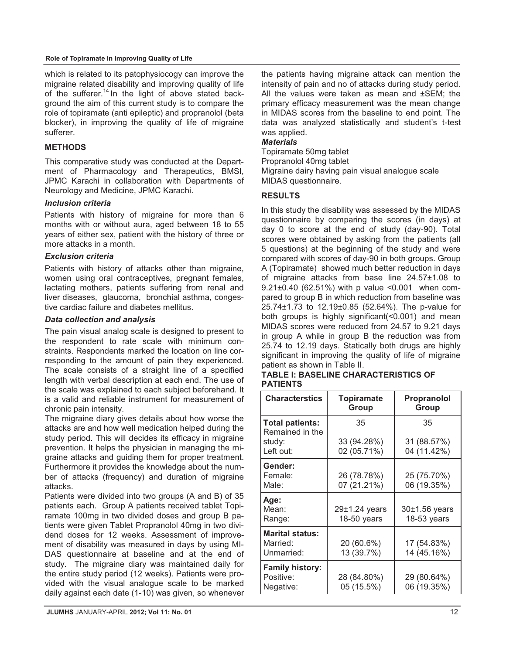#### **Role of Topiramate in Improving Quality of Life**

which is related to its patophysiocogy can improve the migraine related disability and improving quality of life of the sufferer.<sup>14</sup> In the light of above stated background the aim of this current study is to compare the role of topiramate (anti epileptic) and propranolol (beta blocker), in improving the quality of life of migraine sufferer.

# **METHODS**

This comparative study was conducted at the Department of Pharmacology and Therapeutics, BMSI, JPMC Karachi in collaboration with Departments of Neurology and Medicine, JPMC Karachi.

#### *Inclusion criteria*

Patients with history of migraine for more than 6 months with or without aura, aged between 18 to 55 years of either sex, patient with the history of three or more attacks in a month.

#### *Exclusion criteria*

Patients with history of attacks other than migraine, women using oral contraceptives, pregnant females, lactating mothers, patients suffering from renal and liver diseases, glaucoma, bronchial asthma, congestive cardiac failure and diabetes mellitus.

#### *Data collection and analysis*

The pain visual analog scale is designed to present to the respondent to rate scale with minimum constraints. Respondents marked the location on line corresponding to the amount of pain they experienced. The scale consists of a straight line of a specified length with verbal description at each end. The use of the scale was explained to each subject beforehand. It is a valid and reliable instrument for measurement of chronic pain intensity.

The migraine diary gives details about how worse the attacks are and how well medication helped during the study period. This will decides its efficacy in migraine prevention. It helps the physician in managing the migraine attacks and guiding them for proper treatment. Furthermore it provides the knowledge about the number of attacks (frequency) and duration of migraine attacks.

Patients were divided into two groups (A and B) of 35 patients each. Group A patients received tablet Topiramate 100mg in two divided doses and group B patients were given Tablet Propranolol 40mg in two dividend doses for 12 weeks. Assessment of improvement of disability was measured in days by using MI-DAS questionnaire at baseline and at the end of study. The migraine diary was maintained daily for the entire study period (12 weeks). Patients were provided with the visual analogue scale to be marked daily against each date (1-10) was given, so whenever the patients having migraine attack can mention the intensity of pain and no of attacks during study period. All the values were taken as mean and ±SEM; the primary efficacy measurement was the mean change in MIDAS scores from the baseline to end point. The data was analyzed statistically and student's t-test was applied.

#### *Materials*

Topiramate 50mg tablet Propranolol 40mg tablet

Migraine dairy having pain visual analogue scale MIDAS questionnaire.

# **RESULTS**

In this study the disability was assessed by the MIDAS questionnaire by comparing the scores (in days) at day 0 to score at the end of study (day-90). Total scores were obtained by asking from the patients (all 5 questions) at the beginning of the study and were compared with scores of day-90 in both groups. Group A (Topiramate) showed much better reduction in days of migraine attacks from base line 24.57±1.08 to 9.21±0.40 (62.51%) with p value <0.001 when compared to group B in which reduction from baseline was 25.74±1.73 to 12.19±0.85 (52.64%). The p-value for both groups is highly significant(<0.001) and mean MIDAS scores were reduced from 24.57 to 9.21 days in group A while in group B the reduction was from 25.74 to 12.19 days. Statically both drugs are highly significant in improving the quality of life of migraine patient as shown in Table II.

#### **TABLE I: BASELINE CHARACTERISTICS OF PATIENTS**

| <b>Characterstics</b>                            | <b>Topiramate</b><br>Group   | <b>Propranolol</b><br>Group      |  |
|--------------------------------------------------|------------------------------|----------------------------------|--|
| <b>Total patients:</b><br>Remained in the        | 35                           | 35                               |  |
| study:<br>Left out:                              | 33 (94.28%)<br>02 (05.71%)   | 31 (88.57%)<br>04 (11.42%)       |  |
| Gender:<br>Female:<br>Male:                      | 26 (78.78%)<br>07 (21.21%)   | 25 (75.70%)<br>06 (19.35%)       |  |
| Age:<br>Mean:<br>Range:                          | 29±1.24 years<br>18-50 years | $30±1.56$ years<br>$18-53$ years |  |
| <b>Marital status:</b><br>Married:<br>Unmarried: | 20 (60.6%)<br>13 (39.7%)     | 17 (54.83%)<br>14 (45.16%)       |  |
| <b>Family history:</b><br>Positive:<br>Negative: | 28 (84.80%)<br>05 (15.5%)    | 29 (80.64%)<br>06 (19.35%)       |  |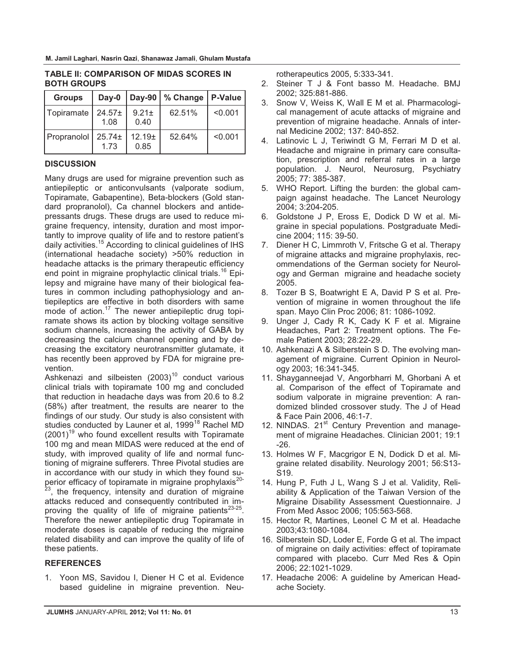| <b>Groups</b> | Day-0               |                            | Day-90   % Change | P-Value |
|---------------|---------------------|----------------------------|-------------------|---------|
| Topiramate    | $24.57+$<br>1.08    | $9.21 \pm$<br>0.40         | 62.51%            | < 0.001 |
| Propranolol   | $25.74 \pm$<br>1.73 | 12.19 <sub>±</sub><br>0.85 | 52.64%            | < 0.001 |

#### **TABLE II: COMPARISON OF MIDAS SCORES IN BOTH GROUPS**

# **DISCUSSION**

Many drugs are used for migraine prevention such as antiepileptic or anticonvulsants (valporate sodium, Topiramate, Gabapentine), Beta-blockers (Gold standard propranolol), Ca channel blockers and antidepressants drugs. These drugs are used to reduce migraine frequency, intensity, duration and most importantly to improve quality of life and to restore patient's daily activities.<sup>15</sup> According to clinical guidelines of IHS (international headache society) >50% reduction in headache attacks is the primary therapeutic efficiency end point in migraine prophylactic clinical trials.<sup>16</sup> Epilepsy and migraine have many of their biological features in common including pathophysiology and antiepileptics are effective in both disorders with same mode of action.<sup>17</sup> The newer antiepileptic drug topiramate shows its action by blocking voltage sensitive sodium channels, increasing the activity of GABA by decreasing the calcium channel opening and by decreasing the excitatory neurotransmitter glutamate, it has recently been approved by FDA for migraine prevention.

Ashkenazi and silbeisten  $(2003)^{10}$  conduct various clinical trials with topiramate 100 mg and concluded that reduction in headache days was from 20.6 to 8.2 (58%) after treatment, the results are nearer to the findings of our study. Our study is also consistent with studies conducted by Launer et al, 1999<sup>18</sup> Rachel MD  $(2001)^{19}$  who found excellent results with Topiramate 100 mg and mean MIDAS were reduced at the end of study, with improved quality of life and normal functioning of migraine sufferers. Three Pivotal studies are in accordance with our study in which they found superior efficacy of topiramate in migraine prophylaxis<sup>20-</sup>

<sup>23</sup>, the frequency, intensity and duration of migraine attacks reduced and consequently contributed in improving the quality of life of migraine patients $^{23-25}$ . Therefore the newer antiepileptic drug Topiramate in moderate doses is capable of reducing the migraine related disability and can improve the quality of life of these patients.

# **REFERENCES**

1. Yoon MS, Savidou I, Diener H C et al. Evidence based guideline in migraine prevention. Neurotherapeutics 2005, 5:333-341.

- 2. Steiner T J & Font basso M. Headache. BMJ 2002; 325:881-886.
- 3. Snow V, Weiss K, Wall E M et al. Pharmacological management of acute attacks of migraine and prevention of migraine headache. Annals of internal Medicine 2002; 137: 840-852.
- 4. Latinovic L J, Teriwindt G M, Ferrari M D et al. Headache and migraine in primary care consultation, prescription and referral rates in a large population. J. Neurol, Neurosurg, Psychiatry 2005; 77: 385-387.
- 5. WHO Report. Lifting the burden: the global campaign against headache. The Lancet Neurology 2004; 3:204-205.
- 6. Goldstone J P, Eross E, Dodick D W et al. Migraine in special populations. Postgraduate Medicine 2004; 115: 39-50.
- 7. Diener H C, Limmroth V, Fritsche G et al. Therapy of migraine attacks and migraine prophylaxis, recommendations of the German society for Neurology and German migraine and headache society 2005.
- 8. Tozer B S, Boatwright E A, David P S et al. Prevention of migraine in women throughout the life span. Mayo Clin Proc 2006; 81: 1086-1092.
- 9. Unger J, Cady R K, Cady K F et al. Migraine Headaches, Part 2: Treatment options. The Female Patient 2003; 28:22-29.
- 10. Ashkenazi A & Silberstein S D. The evolving management of migraine. Current Opinion in Neurology 2003; 16:341-345.
- 11. Shayganneejad V, Angorbharri M, Ghorbani A et al. Comparison of the effect of Topiramate and sodium valporate in migraine prevention: A randomized blinded crossover study. The J of Head & Face Pain 2006, 46:1-7.
- 12. NINDAS. 21<sup>st</sup> Century Prevention and management of migraine Headaches. Clinician 2001; 19:1 -26.
- 13. Holmes W F, Macgrigor E N, Dodick D et al. Migraine related disability. Neurology 2001; 56:S13- S19.
- 14. Hung P, Futh J L, Wang S J et al. Validity, Reliability & Application of the Taiwan Version of the Migraine Disability Assessment Questionnaire. J From Med Assoc 2006; 105:563-568.
- 15. Hector R, Martines, Leonel C M et al. Headache 2003;43:1080-1084.
- 16. Silberstein SD, Loder E, Forde G et al. The impact of migraine on daily activities: effect of topiramate compared with placebo. Curr Med Res & Opin 2006; 22:1021-1029.
- 17. Headache 2006: A guideline by American Headache Society.